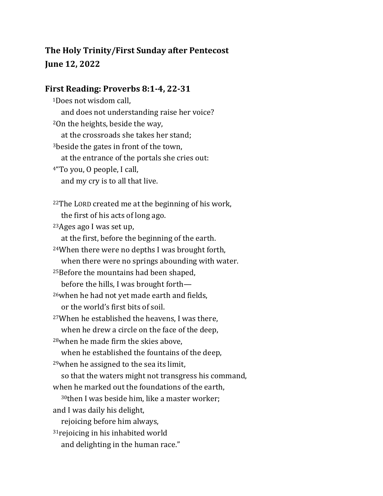# **The Holy Trinity/First Sunday after Pentecost June 12, 2022**

#### **First Reading: Proverbs 8:1-4, 22-31**

<sup>1</sup>Does not wisdom call, and does not understanding raise her voice? <sup>2</sup>On the heights, beside the way, at the crossroads she takes her stand; <sup>3</sup>beside the gates in front of the town, at the entrance of the portals she cries out: <sup>4</sup>"To you, O people, I call, and my cry is to all that live. <sup>22</sup>The LORD created me at the beginning of his work, the first of his acts of long ago. <sup>23</sup>Ages ago I was set up, at the first, before the beginning of the earth. <sup>24</sup>When there were no depths I was brought forth, when there were no springs abounding with water. <sup>25</sup>Before the mountains had been shaped, before the hills, I was brought forth— <sup>26</sup>when he had not yet made earth and fields, or the world's first bits of soil. <sup>27</sup>When he established the heavens, I was there, when he drew a circle on the face of the deep, <sup>28</sup>when he made firm the skies above, when he established the fountains of the deep, <sup>29</sup>when he assigned to the sea its limit, so that the waters might not transgress his command, when he marked out the foundations of the earth, <sup>30</sup>then I was beside him, like a master worker; and I was daily his delight, rejoicing before him always, <sup>31</sup> rejoicing in his inhabited world and delighting in the human race."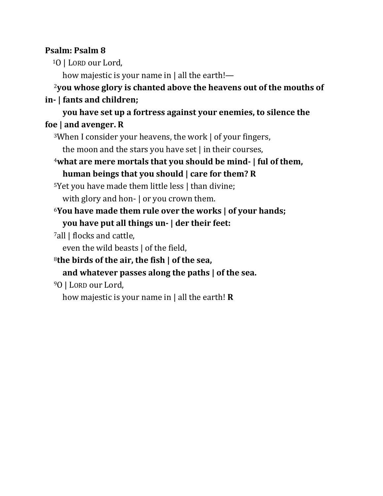### **Psalm: Psalm 8**

<sup>1</sup>O | LORD our Lord,

how majestic is your name in | all the earth!—

# <sup>2</sup>**you whose glory is chanted above the heavens out of the mouths of in- | fants and children;**

## **you have set up a fortress against your enemies, to silence the foe | and avenger. R**

<sup>3</sup>When I consider your heavens, the work | of your fingers,

the moon and the stars you have set | in their courses,

<sup>4</sup>**what are mere mortals that you should be mind- | ful of them, human beings that you should | care for them? R**

<sup>5</sup>Yet you have made them little less | than divine; with glory and hon- | or you crown them.

- <sup>6</sup>**You have made them rule over the works | of your hands; you have put all things un- | der their feet:**
- <sup>7</sup>all | flocks and cattle,

even the wild beasts | of the field,

<sup>8</sup>**the birds of the air, the fish | of the sea,**

### **and whatever passes along the paths | of the sea.**

<sup>9</sup>O | LORD our Lord,

how majestic is your name in | all the earth! **R**